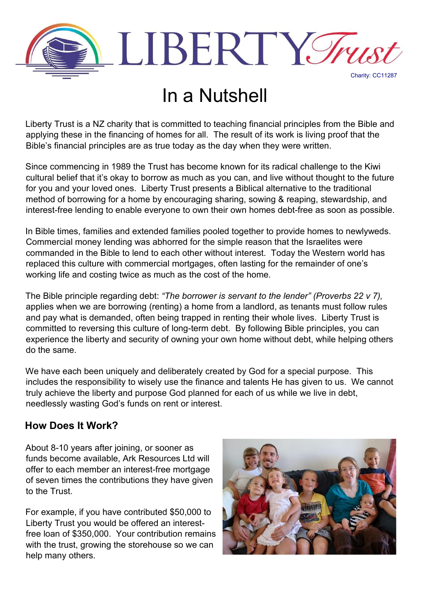

## In a Nutshell

Liberty Trust is a NZ charity that is committed to teaching financial principles from the Bible and applying these in the financing of homes for all. The result of its work is living proof that the Bible's financial principles are as true today as the day when they were written.

Since commencing in 1989 the Trust has become known for its radical challenge to the Kiwi cultural belief that it's okay to borrow as much as you can, and live without thought to the future for you and your loved ones. Liberty Trust presents a Biblical alternative to the traditional method of borrowing for a home by encouraging sharing, sowing & reaping, stewardship, and interest-free lending to enable everyone to own their own homes debt-free as soon as possible.

In Bible times, families and extended families pooled together to provide homes to newlyweds. Commercial money lending was abhorred for the simple reason that the Israelites were commanded in the Bible to lend to each other without interest. Today the Western world has replaced this culture with commercial mortgages, often lasting for the remainder of one's working life and costing twice as much as the cost of the home.

The Bible principle regarding debt: *"The borrower is servant to the lender" (Proverbs 22 v 7),* applies when we are borrowing (renting) a home from a landlord, as tenants must follow rules and pay what is demanded, often being trapped in renting their whole lives. Liberty Trust is committed to reversing this culture of long-term debt. By following Bible principles, you can experience the liberty and security of owning your own home without debt, while helping others do the same.

We have each been uniquely and deliberately created by God for a special purpose. This includes the responsibility to wisely use the finance and talents He has given to us. We cannot truly achieve the liberty and purpose God planned for each of us while we live in debt, needlessly wasting God's funds on rent or interest.

## **How Does It Work?**

About 8-10 years after joining, or sooner as funds become available, Ark Resources Ltd will offer to each member an interest-free mortgage of seven times the contributions they have given to the Trust.

For example, if you have contributed \$50,000 to Liberty Trust you would be offered an interestfree loan of \$350,000. Your contribution remains with the trust, growing the storehouse so we can help many others.